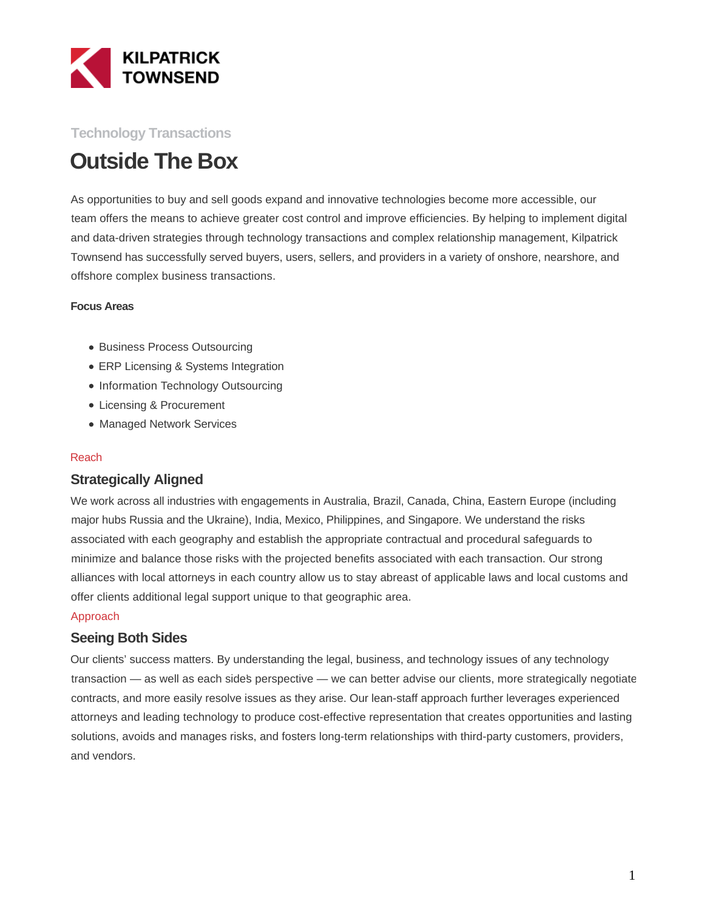

## **Technology Transactions**

# **Outside The Box**

As opportunities to buy and sell goods expand and innovative technologies become more accessible, our team offers the means to achieve greater cost control and improve efficiencies. By helping to implement digital and data-driven strategies through technology transactions and complex relationship management, Kilpatrick Townsend has successfully served buyers, users, sellers, and providers in a variety of onshore, nearshore, and offshore complex business transactions.

#### **Focus Areas**

- Business Process Outsourcing
- ERP Licensing & Systems Integration
- Information Technology Outsourcing
- Licensing & Procurement
- Managed Network Services

#### Reach

### **Strategically Aligned**

We work across all industries with engagements in Australia, Brazil, Canada, China, Eastern Europe (including major hubs Russia and the Ukraine), India, Mexico, Philippines, and Singapore. We understand the risks associated with each geography and establish the appropriate contractual and procedural safeguards to minimize and balance those risks with the projected benefits associated with each transaction. Our strong alliances with local attorneys in each country allow us to stay abreast of applicable laws and local customs and offer clients additional legal support unique to that geographic area.

#### Approach

### **Seeing Both Sides**

Our clients' success matters. By understanding the legal, business, and technology issues of any technology transaction — as well as each sides perspective — we can better advise our clients, more strategically negotiate contracts, and more easily resolve issues as they arise. Our lean-staff approach further leverages experienced attorneys and leading technology to produce cost-effective representation that creates opportunities and lasting solutions, avoids and manages risks, and fosters long-term relationships with third-party customers, providers, and vendors.